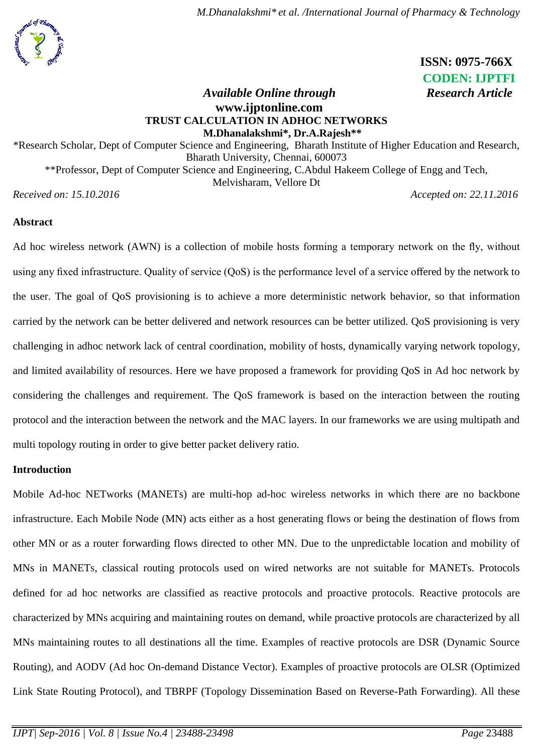

 **ISSN: 0975-766X CODEN: IJPTFI**

# *Available Online through* Research Article **www.ijptonline.com TRUST CALCULATION IN ADHOC NETWORKS M.Dhanalakshmi\*, Dr.A.Rajesh\*\***

\*Research Scholar, Dept of Computer Science and Engineering, Bharath Institute of Higher Education and Research, Bharath University, Chennai, 600073 \*\*Professor, Dept of Computer Science and Engineering, C.Abdul Hakeem College of Engg and Tech, Melvisharam, Vellore Dt

*Received on: 15.10.2016 Accepted on: 22.11.2016*

# **Abstract**

Ad hoc wireless network (AWN) is a collection of mobile hosts forming a temporary network on the fly, without using any fixed infrastructure. Quality of service (QoS) is the performance level of a service offered by the network to the user. The goal of QoS provisioning is to achieve a more deterministic network behavior, so that information carried by the network can be better delivered and network resources can be better utilized. QoS provisioning is very challenging in adhoc network lack of central coordination, mobility of hosts, dynamically varying network topology, and limited availability of resources. Here we have proposed a framework for providing QoS in Ad hoc network by considering the challenges and requirement. The QoS framework is based on the interaction between the routing protocol and the interaction between the network and the MAC layers. In our frameworks we are using multipath and multi topology routing in order to give better packet delivery ratio.

# **Introduction**

Mobile Ad-hoc NETworks (MANETs) are multi-hop ad-hoc wireless networks in which there are no backbone infrastructure. Each Mobile Node (MN) acts either as a host generating flows or being the destination of flows from other MN or as a router forwarding flows directed to other MN. Due to the unpredictable location and mobility of MNs in MANETs, classical routing protocols used on wired networks are not suitable for MANETs. Protocols defined for ad hoc networks are classified as reactive protocols and proactive protocols. Reactive protocols are characterized by MNs acquiring and maintaining routes on demand, while proactive protocols are characterized by all MNs maintaining routes to all destinations all the time. Examples of reactive protocols are DSR (Dynamic Source Routing), and AODV (Ad hoc On-demand Distance Vector). Examples of proactive protocols are OLSR (Optimized Link State Routing Protocol), and TBRPF (Topology Dissemination Based on Reverse-Path Forwarding). All these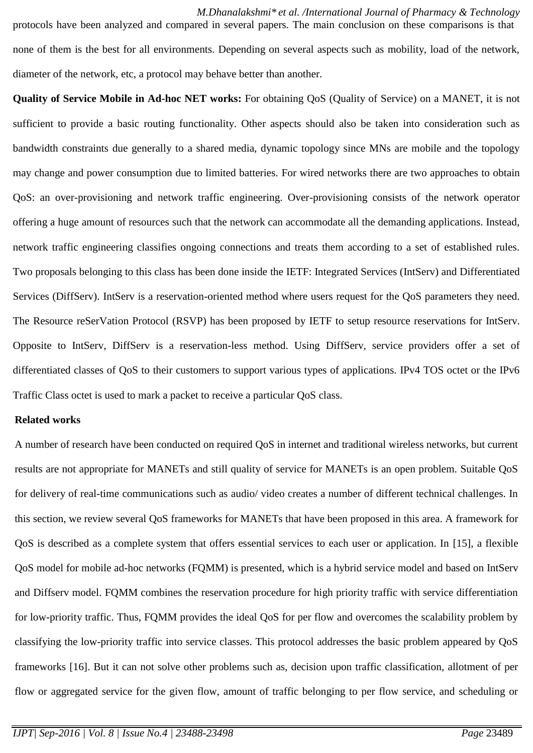*M.Dhanalakshmi\* et al. /International Journal of Pharmacy & Technology* protocols have been analyzed and compared in several papers. The main conclusion on these comparisons is that none of them is the best for all environments. Depending on several aspects such as mobility, load of the network, diameter of the network, etc, a protocol may behave better than another.

**Quality of Service Mobile in Ad-hoc NET works:** For obtaining QoS (Quality of Service) on a MANET, it is not sufficient to provide a basic routing functionality. Other aspects should also be taken into consideration such as bandwidth constraints due generally to a shared media, dynamic topology since MNs are mobile and the topology may change and power consumption due to limited batteries. For wired networks there are two approaches to obtain QoS: an over-provisioning and network traffic engineering. Over-provisioning consists of the network operator offering a huge amount of resources such that the network can accommodate all the demanding applications. Instead, network traffic engineering classifies ongoing connections and treats them according to a set of established rules. Two proposals belonging to this class has been done inside the IETF: Integrated Services (IntServ) and Differentiated Services (DiffServ). IntServ is a reservation-oriented method where users request for the QoS parameters they need. The Resource reSerVation Protocol (RSVP) has been proposed by IETF to setup resource reservations for IntServ. Opposite to IntServ, DiffServ is a reservation-less method. Using DiffServ, service providers offer a set of differentiated classes of QoS to their customers to support various types of applications. IPv4 TOS octet or the IPv6 Traffic Class octet is used to mark a packet to receive a particular QoS class.

### **Related works**

A number of research have been conducted on required QoS in internet and traditional wireless networks, but current results are not appropriate for MANETs and still quality of service for MANETs is an open problem. Suitable QoS for delivery of real-time communications such as audio/ video creates a number of different technical challenges. In this section, we review several QoS frameworks for MANETs that have been proposed in this area. A framework for QoS is described as a complete system that offers essential services to each user or application. In [15], a flexible QoS model for mobile ad-hoc networks (FQMM) is presented, which is a hybrid service model and based on IntServ and Diffserv model. FQMM combines the reservation procedure for high priority traffic with service differentiation for low-priority traffic. Thus, FQMM provides the ideal QoS for per flow and overcomes the scalability problem by classifying the low-priority traffic into service classes. This protocol addresses the basic problem appeared by QoS frameworks [16]. But it can not solve other problems such as, decision upon traffic classification, allotment of per flow or aggregated service for the given flow, amount of traffic belonging to per flow service, and scheduling or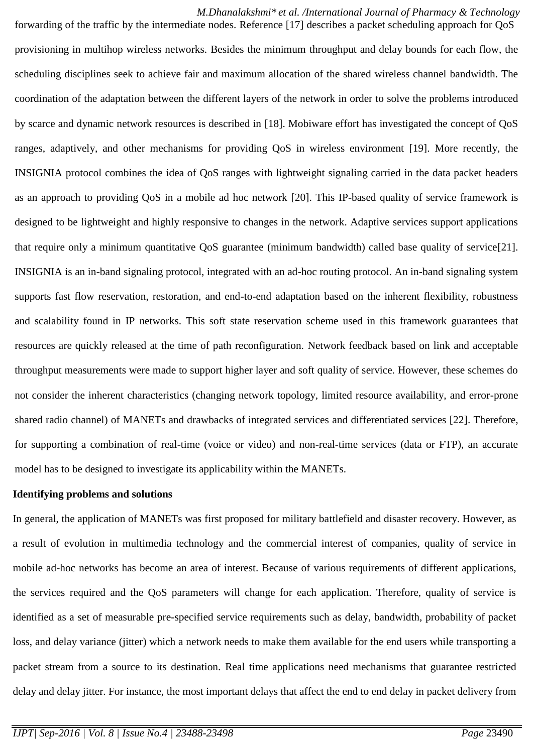#### *M.Dhanalakshmi\* et al. /International Journal of Pharmacy & Technology* forwarding of the traffic by the intermediate nodes. Reference [17] describes a packet scheduling approach for QoS

provisioning in multihop wireless networks. Besides the minimum throughput and delay bounds for each flow, the scheduling disciplines seek to achieve fair and maximum allocation of the shared wireless channel bandwidth. The coordination of the adaptation between the different layers of the network in order to solve the problems introduced by scarce and dynamic network resources is described in [18]. Mobiware effort has investigated the concept of QoS ranges, adaptively, and other mechanisms for providing QoS in wireless environment [19]. More recently, the INSIGNIA protocol combines the idea of QoS ranges with lightweight signaling carried in the data packet headers as an approach to providing QoS in a mobile ad hoc network [20]. This IP-based quality of service framework is designed to be lightweight and highly responsive to changes in the network. Adaptive services support applications that require only a minimum quantitative QoS guarantee (minimum bandwidth) called base quality of service[21]. INSIGNIA is an in-band signaling protocol, integrated with an ad-hoc routing protocol. An in-band signaling system supports fast flow reservation, restoration, and end-to-end adaptation based on the inherent flexibility, robustness and scalability found in IP networks. This soft state reservation scheme used in this framework guarantees that resources are quickly released at the time of path reconfiguration. Network feedback based on link and acceptable throughput measurements were made to support higher layer and soft quality of service. However, these schemes do not consider the inherent characteristics (changing network topology, limited resource availability, and error-prone shared radio channel) of MANETs and drawbacks of integrated services and differentiated services [22]. Therefore, for supporting a combination of real-time (voice or video) and non-real-time services (data or FTP), an accurate model has to be designed to investigate its applicability within the MANETs.

### **Identifying problems and solutions**

In general, the application of MANETs was first proposed for military battlefield and disaster recovery. However, as a result of evolution in multimedia technology and the commercial interest of companies, quality of service in mobile ad-hoc networks has become an area of interest. Because of various requirements of different applications, the services required and the QoS parameters will change for each application. Therefore, quality of service is identified as a set of measurable pre-specified service requirements such as delay, bandwidth, probability of packet loss, and delay variance (jitter) which a network needs to make them available for the end users while transporting a packet stream from a source to its destination. Real time applications need mechanisms that guarantee restricted delay and delay jitter. For instance, the most important delays that affect the end to end delay in packet delivery from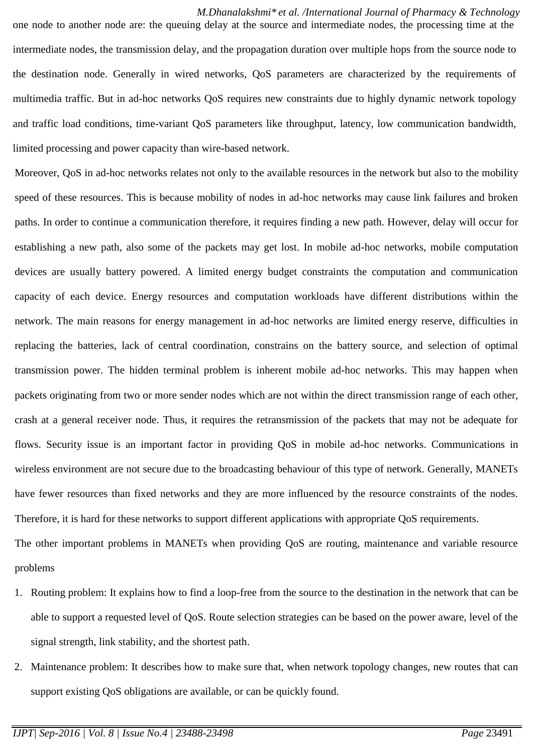*M.Dhanalakshmi\* et al. /International Journal of Pharmacy & Technology* one node to another node are: the queuing delay at the source and intermediate nodes, the processing time at the intermediate nodes, the transmission delay, and the propagation duration over multiple hops from the source node to the destination node. Generally in wired networks, QoS parameters are characterized by the requirements of multimedia traffic. But in ad-hoc networks QoS requires new constraints due to highly dynamic network topology and traffic load conditions, time-variant QoS parameters like throughput, latency, low communication bandwidth, limited processing and power capacity than wire-based network.

Moreover, QoS in ad-hoc networks relates not only to the available resources in the network but also to the mobility speed of these resources. This is because mobility of nodes in ad-hoc networks may cause link failures and broken paths. In order to continue a communication therefore, it requires finding a new path. However, delay will occur for establishing a new path, also some of the packets may get lost. In mobile ad-hoc networks, mobile computation devices are usually battery powered. A limited energy budget constraints the computation and communication capacity of each device. Energy resources and computation workloads have different distributions within the network. The main reasons for energy management in ad-hoc networks are limited energy reserve, difficulties in replacing the batteries, lack of central coordination, constrains on the battery source, and selection of optimal transmission power. The hidden terminal problem is inherent mobile ad-hoc networks. This may happen when packets originating from two or more sender nodes which are not within the direct transmission range of each other, crash at a general receiver node. Thus, it requires the retransmission of the packets that may not be adequate for flows. Security issue is an important factor in providing QoS in mobile ad-hoc networks. Communications in wireless environment are not secure due to the broadcasting behaviour of this type of network. Generally, MANETs have fewer resources than fixed networks and they are more influenced by the resource constraints of the nodes. Therefore, it is hard for these networks to support different applications with appropriate QoS requirements.

The other important problems in MANETs when providing QoS are routing, maintenance and variable resource problems

- 1. Routing problem: It explains how to find a loop-free from the source to the destination in the network that can be able to support a requested level of QoS. Route selection strategies can be based on the power aware, level of the signal strength, link stability, and the shortest path.
- 2. Maintenance problem: It describes how to make sure that, when network topology changes, new routes that can support existing QoS obligations are available, or can be quickly found.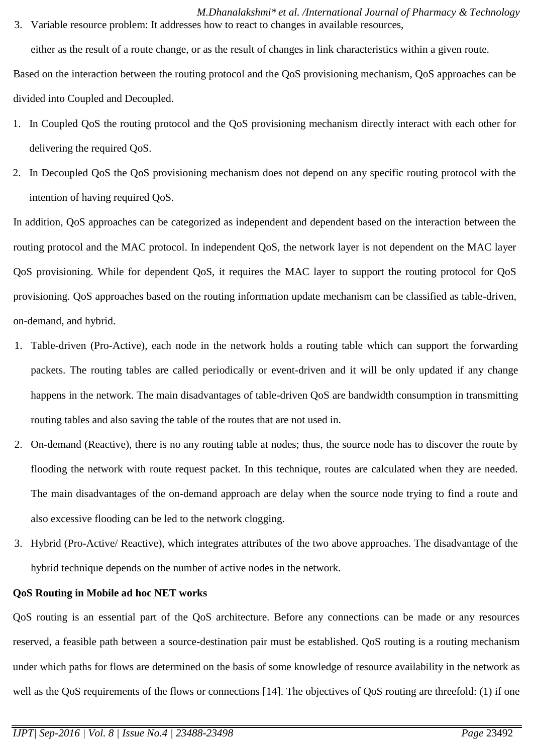- *M.Dhanalakshmi\* et al. /International Journal of Pharmacy & Technology* 3. Variable resource problem: It addresses how to react to changes in available resources,
- either as the result of a route change, or as the result of changes in link characteristics within a given route. Based on the interaction between the routing protocol and the QoS provisioning mechanism, QoS approaches can be divided into Coupled and Decoupled.
- 1. In Coupled QoS the routing protocol and the QoS provisioning mechanism directly interact with each other for delivering the required QoS.
- 2. In Decoupled QoS the QoS provisioning mechanism does not depend on any specific routing protocol with the intention of having required QoS.

In addition, QoS approaches can be categorized as independent and dependent based on the interaction between the routing protocol and the MAC protocol. In independent QoS, the network layer is not dependent on the MAC layer QoS provisioning. While for dependent QoS, it requires the MAC layer to support the routing protocol for QoS provisioning. QoS approaches based on the routing information update mechanism can be classified as table-driven, on-demand, and hybrid.

- 1. Table-driven (Pro-Active), each node in the network holds a routing table which can support the forwarding packets. The routing tables are called periodically or event-driven and it will be only updated if any change happens in the network. The main disadvantages of table-driven QoS are bandwidth consumption in transmitting routing tables and also saving the table of the routes that are not used in.
- 2. On-demand (Reactive), there is no any routing table at nodes; thus, the source node has to discover the route by flooding the network with route request packet. In this technique, routes are calculated when they are needed. The main disadvantages of the on-demand approach are delay when the source node trying to find a route and also excessive flooding can be led to the network clogging.
- 3. Hybrid (Pro-Active/ Reactive), which integrates attributes of the two above approaches. The disadvantage of the hybrid technique depends on the number of active nodes in the network.

# **QoS Routing in Mobile ad hoc NET works**

QoS routing is an essential part of the QoS architecture. Before any connections can be made or any resources reserved, a feasible path between a source-destination pair must be established. QoS routing is a routing mechanism under which paths for flows are determined on the basis of some knowledge of resource availability in the network as well as the QoS requirements of the flows or connections [14]. The objectives of QoS routing are threefold: (1) if one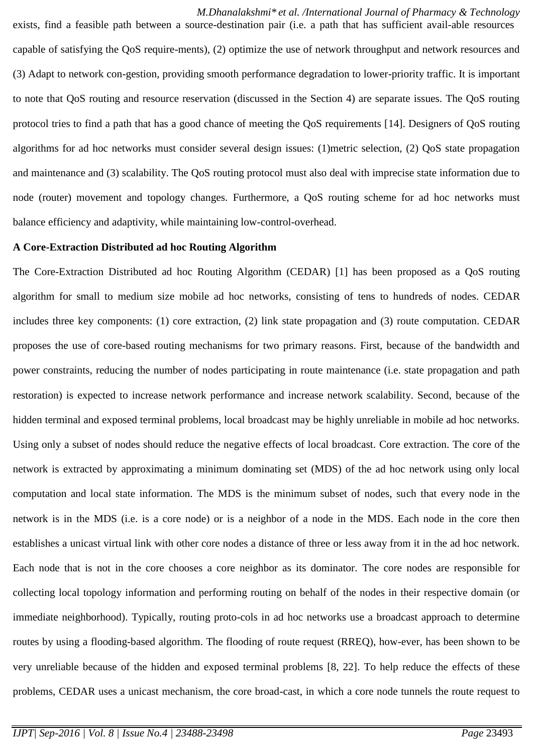*M.Dhanalakshmi\* et al. /International Journal of Pharmacy & Technology* exists, find a feasible path between a source-destination pair (i.e. a path that has sufficient avail-able resources capable of satisfying the QoS require-ments), (2) optimize the use of network throughput and network resources and (3) Adapt to network con-gestion, providing smooth performance degradation to lower-priority traffic. It is important to note that QoS routing and resource reservation (discussed in the Section 4) are separate issues. The QoS routing protocol tries to find a path that has a good chance of meeting the QoS requirements [14]. Designers of QoS routing algorithms for ad hoc networks must consider several design issues: (1)metric selection, (2) QoS state propagation and maintenance and (3) scalability. The QoS routing protocol must also deal with imprecise state information due to node (router) movement and topology changes. Furthermore, a QoS routing scheme for ad hoc networks must balance efficiency and adaptivity, while maintaining low-control-overhead.

### **A Core-Extraction Distributed ad hoc Routing Algorithm**

The Core-Extraction Distributed ad hoc Routing Algorithm (CEDAR) [1] has been proposed as a QoS routing algorithm for small to medium size mobile ad hoc networks, consisting of tens to hundreds of nodes. CEDAR includes three key components: (1) core extraction, (2) link state propagation and (3) route computation. CEDAR proposes the use of core-based routing mechanisms for two primary reasons. First, because of the bandwidth and power constraints, reducing the number of nodes participating in route maintenance (i.e. state propagation and path restoration) is expected to increase network performance and increase network scalability. Second, because of the hidden terminal and exposed terminal problems, local broadcast may be highly unreliable in mobile ad hoc networks. Using only a subset of nodes should reduce the negative effects of local broadcast. Core extraction. The core of the network is extracted by approximating a minimum dominating set (MDS) of the ad hoc network using only local computation and local state information. The MDS is the minimum subset of nodes, such that every node in the network is in the MDS (i.e. is a core node) or is a neighbor of a node in the MDS. Each node in the core then establishes a unicast virtual link with other core nodes a distance of three or less away from it in the ad hoc network. Each node that is not in the core chooses a core neighbor as its dominator. The core nodes are responsible for collecting local topology information and performing routing on behalf of the nodes in their respective domain (or immediate neighborhood). Typically, routing proto-cols in ad hoc networks use a broadcast approach to determine routes by using a flooding-based algorithm. The flooding of route request (RREQ), how-ever, has been shown to be very unreliable because of the hidden and exposed terminal problems [8, 22]. To help reduce the effects of these problems, CEDAR uses a unicast mechanism, the core broad-cast, in which a core node tunnels the route request to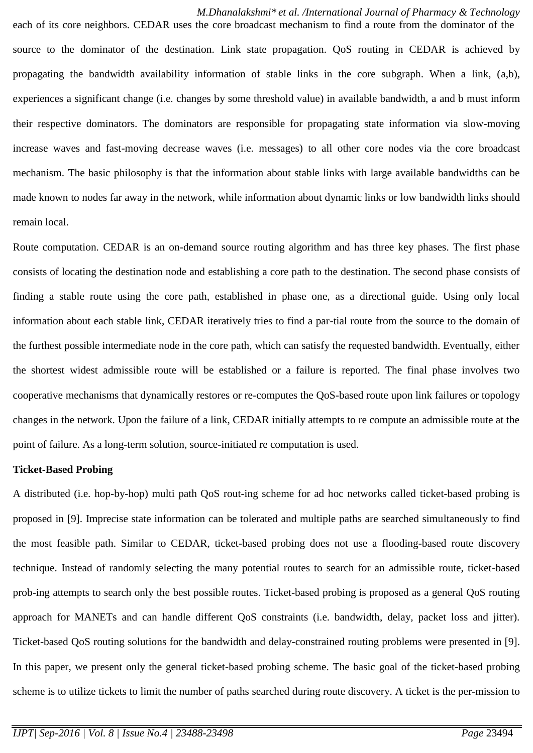*M.Dhanalakshmi\* et al. /International Journal of Pharmacy & Technology* each of its core neighbors. CEDAR uses the core broadcast mechanism to find a route from the dominator of the source to the dominator of the destination. Link state propagation. QoS routing in CEDAR is achieved by propagating the bandwidth availability information of stable links in the core subgraph. When a link, (a,b), experiences a significant change (i.e. changes by some threshold value) in available bandwidth, a and b must inform their respective dominators. The dominators are responsible for propagating state information via slow-moving increase waves and fast-moving decrease waves (i.e. messages) to all other core nodes via the core broadcast mechanism. The basic philosophy is that the information about stable links with large available bandwidths can be made known to nodes far away in the network, while information about dynamic links or low bandwidth links should remain local.

Route computation. CEDAR is an on-demand source routing algorithm and has three key phases. The first phase consists of locating the destination node and establishing a core path to the destination. The second phase consists of finding a stable route using the core path, established in phase one, as a directional guide. Using only local information about each stable link, CEDAR iteratively tries to find a par-tial route from the source to the domain of the furthest possible intermediate node in the core path, which can satisfy the requested bandwidth. Eventually, either the shortest widest admissible route will be established or a failure is reported. The final phase involves two cooperative mechanisms that dynamically restores or re-computes the QoS-based route upon link failures or topology changes in the network. Upon the failure of a link, CEDAR initially attempts to re compute an admissible route at the point of failure. As a long-term solution, source-initiated re computation is used.

### **Ticket-Based Probing**

A distributed (i.e. hop-by-hop) multi path QoS rout-ing scheme for ad hoc networks called ticket-based probing is proposed in [9]. Imprecise state information can be tolerated and multiple paths are searched simultaneously to find the most feasible path. Similar to CEDAR, ticket-based probing does not use a flooding-based route discovery technique. Instead of randomly selecting the many potential routes to search for an admissible route, ticket-based prob-ing attempts to search only the best possible routes. Ticket-based probing is proposed as a general QoS routing approach for MANETs and can handle different QoS constraints (i.e. bandwidth, delay, packet loss and jitter). Ticket-based QoS routing solutions for the bandwidth and delay-constrained routing problems were presented in [9]. In this paper, we present only the general ticket-based probing scheme. The basic goal of the ticket-based probing scheme is to utilize tickets to limit the number of paths searched during route discovery. A ticket is the per-mission to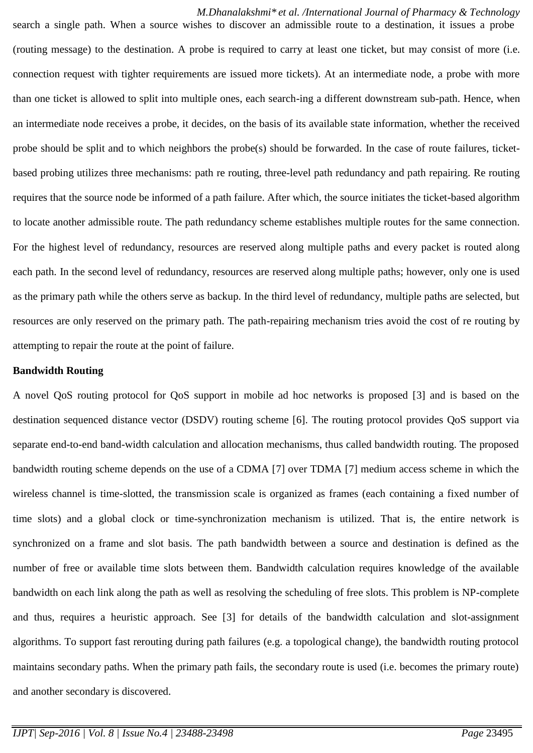*M.Dhanalakshmi\* et al. /International Journal of Pharmacy & Technology* search a single path. When a source wishes to discover an admissible route to a destination, it issues a probe

(routing message) to the destination. A probe is required to carry at least one ticket, but may consist of more (i.e. connection request with tighter requirements are issued more tickets). At an intermediate node, a probe with more than one ticket is allowed to split into multiple ones, each search-ing a different downstream sub-path. Hence, when an intermediate node receives a probe, it decides, on the basis of its available state information, whether the received probe should be split and to which neighbors the probe(s) should be forwarded. In the case of route failures, ticketbased probing utilizes three mechanisms: path re routing, three-level path redundancy and path repairing. Re routing requires that the source node be informed of a path failure. After which, the source initiates the ticket-based algorithm to locate another admissible route. The path redundancy scheme establishes multiple routes for the same connection. For the highest level of redundancy, resources are reserved along multiple paths and every packet is routed along each path. In the second level of redundancy, resources are reserved along multiple paths; however, only one is used as the primary path while the others serve as backup. In the third level of redundancy, multiple paths are selected, but resources are only reserved on the primary path. The path-repairing mechanism tries avoid the cost of re routing by attempting to repair the route at the point of failure.

### **Bandwidth Routing**

A novel QoS routing protocol for QoS support in mobile ad hoc networks is proposed [3] and is based on the destination sequenced distance vector (DSDV) routing scheme [6]. The routing protocol provides QoS support via separate end-to-end band-width calculation and allocation mechanisms, thus called bandwidth routing. The proposed bandwidth routing scheme depends on the use of a CDMA [7] over TDMA [7] medium access scheme in which the wireless channel is time-slotted, the transmission scale is organized as frames (each containing a fixed number of time slots) and a global clock or time-synchronization mechanism is utilized. That is, the entire network is synchronized on a frame and slot basis. The path bandwidth between a source and destination is defined as the number of free or available time slots between them. Bandwidth calculation requires knowledge of the available bandwidth on each link along the path as well as resolving the scheduling of free slots. This problem is NP-complete and thus, requires a heuristic approach. See [3] for details of the bandwidth calculation and slot-assignment algorithms. To support fast rerouting during path failures (e.g. a topological change), the bandwidth routing protocol maintains secondary paths. When the primary path fails, the secondary route is used (i.e. becomes the primary route) and another secondary is discovered.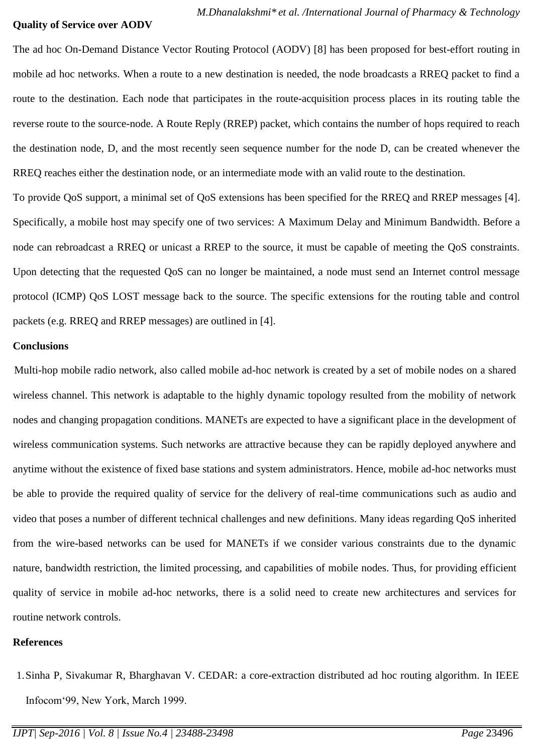#### **Quality of Service over AODV**

The ad hoc On-Demand Distance Vector Routing Protocol (AODV) [8] has been proposed for best-effort routing in mobile ad hoc networks. When a route to a new destination is needed, the node broadcasts a RREQ packet to find a route to the destination. Each node that participates in the route-acquisition process places in its routing table the reverse route to the source-node. A Route Reply (RREP) packet, which contains the number of hops required to reach the destination node, D, and the most recently seen sequence number for the node D, can be created whenever the RREQ reaches either the destination node, or an intermediate mode with an valid route to the destination.

To provide QoS support, a minimal set of QoS extensions has been specified for the RREQ and RREP messages [4]. Specifically, a mobile host may specify one of two services: A Maximum Delay and Minimum Bandwidth. Before a node can rebroadcast a RREQ or unicast a RREP to the source, it must be capable of meeting the QoS constraints. Upon detecting that the requested QoS can no longer be maintained, a node must send an Internet control message protocol (ICMP) QoS LOST message back to the source. The specific extensions for the routing table and control packets (e.g. RREQ and RREP messages) are outlined in [4].

### **Conclusions**

Multi-hop mobile radio network, also called mobile ad-hoc network is created by a set of mobile nodes on a shared wireless channel. This network is adaptable to the highly dynamic topology resulted from the mobility of network nodes and changing propagation conditions. MANETs are expected to have a significant place in the development of wireless communication systems. Such networks are attractive because they can be rapidly deployed anywhere and anytime without the existence of fixed base stations and system administrators. Hence, mobile ad-hoc networks must be able to provide the required quality of service for the delivery of real-time communications such as audio and video that poses a number of different technical challenges and new definitions. Many ideas regarding QoS inherited from the wire-based networks can be used for MANETs if we consider various constraints due to the dynamic nature, bandwidth restriction, the limited processing, and capabilities of mobile nodes. Thus, for providing efficient quality of service in mobile ad-hoc networks, there is a solid need to create new architectures and services for routine network controls.

# **References**

1.Sinha P, Sivakumar R, Bharghavan V. CEDAR: a core-extraction distributed ad hoc routing algorithm. In IEEE Infocom'99, New York, March 1999.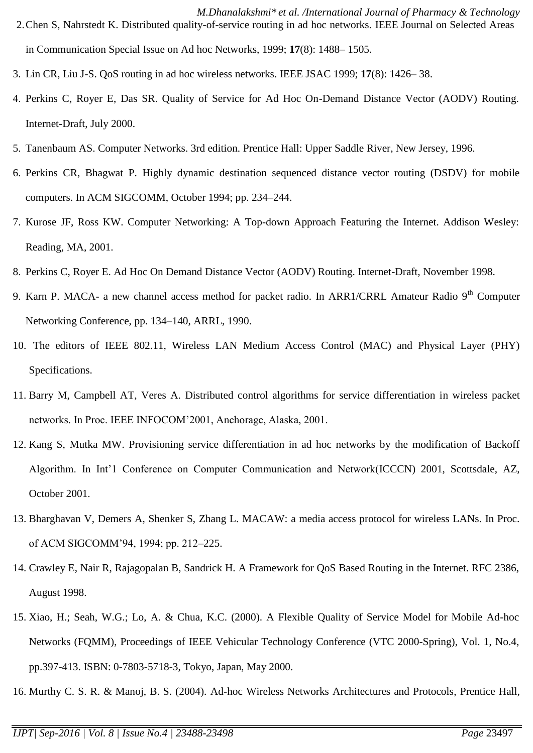- *M.Dhanalakshmi\* et al. /International Journal of Pharmacy & Technology* 2.Chen S, Nahrstedt K. Distributed quality-of-service routing in ad hoc networks. IEEE Journal on Selected Areas in Communication Special Issue on Ad hoc Networks, 1999; **17**(8): 1488– 1505.
- 3. Lin CR, Liu J-S. QoS routing in ad hoc wireless networks. IEEE JSAC 1999; **17**(8): 1426– 38.
- 4. Perkins C, Royer E, Das SR. Quality of Service for Ad Hoc On-Demand Distance Vector (AODV) Routing. Internet-Draft, July 2000.
- 5. Tanenbaum AS. Computer Networks. 3rd edition. Prentice Hall: Upper Saddle River, New Jersey, 1996.
- 6. Perkins CR, Bhagwat P. Highly dynamic destination sequenced distance vector routing (DSDV) for mobile computers. In ACM SIGCOMM, October 1994; pp. 234–244.
- 7. Kurose JF, Ross KW. Computer Networking: A Top-down Approach Featuring the Internet. Addison Wesley: Reading, MA, 2001.
- 8. Perkins C, Royer E. Ad Hoc On Demand Distance Vector (AODV) Routing. Internet-Draft, November 1998.
- 9. Karn P. MACA- a new channel access method for packet radio. In ARR1/CRRL Amateur Radio 9<sup>th</sup> Computer Networking Conference, pp. 134–140, ARRL, 1990.
- 10. The editors of IEEE 802.11, Wireless LAN Medium Access Control (MAC) and Physical Layer (PHY) Specifications.
- 11. Barry M, Campbell AT, Veres A. Distributed control algorithms for service differentiation in wireless packet networks. In Proc. IEEE INFOCOM'2001, Anchorage, Alaska, 2001.
- 12. Kang S, Mutka MW. Provisioning service differentiation in ad hoc networks by the modification of Backoff Algorithm. In Int'1 Conference on Computer Communication and Network(ICCCN) 2001, Scottsdale, AZ, October 2001.
- 13. Bharghavan V, Demers A, Shenker S, Zhang L. MACAW: a media access protocol for wireless LANs. In Proc. of ACM SIGCOMM'94, 1994; pp. 212–225.
- 14. Crawley E, Nair R, Rajagopalan B, Sandrick H. A Framework for QoS Based Routing in the Internet. RFC 2386, August 1998.
- 15. Xiao, H.; Seah, W.G.; Lo, A. & Chua, K.C. (2000). A Flexible Quality of Service Model for Mobile Ad-hoc Networks (FQMM), Proceedings of IEEE Vehicular Technology Conference (VTC 2000-Spring), Vol. 1, No.4, pp.397-413. ISBN: 0-7803-5718-3, Tokyo, Japan, May 2000.
- 16. Murthy C. S. R. & Manoj, B. S. (2004). Ad-hoc Wireless Networks Architectures and Protocols, Prentice Hall,